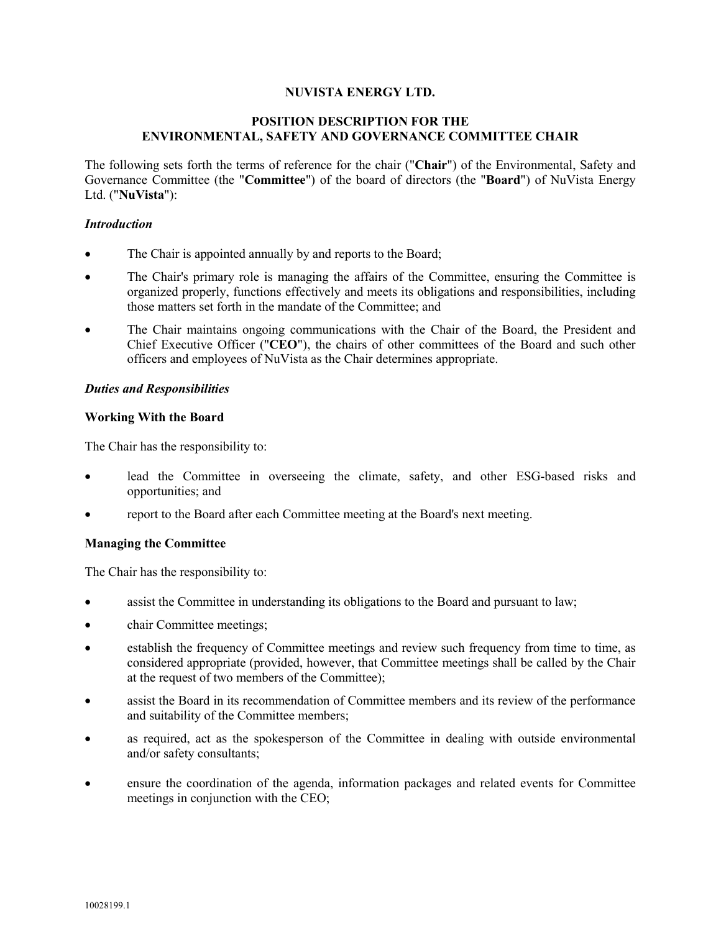### **NUVISTA ENERGY LTD.**

# **POSITION DESCRIPTION FOR THE ENVIRONMENTAL, SAFETY AND GOVERNANCE COMMITTEE CHAIR**

The following sets forth the terms of reference for the chair ("**Chair**") of the Environmental, Safety and Governance Committee (the "**Committee**") of the board of directors (the "**Board**") of NuVista Energy Ltd. ("**NuVista**"):

### *Introduction*

- The Chair is appointed annually by and reports to the Board;
- The Chair's primary role is managing the affairs of the Committee, ensuring the Committee is organized properly, functions effectively and meets its obligations and responsibilities, including those matters set forth in the mandate of the Committee; and
- The Chair maintains ongoing communications with the Chair of the Board, the President and Chief Executive Officer ("**CEO**"), the chairs of other committees of the Board and such other officers and employees of NuVista as the Chair determines appropriate.

# *Duties and Responsibilities*

# **Working With the Board**

The Chair has the responsibility to:

- lead the Committee in overseeing the climate, safety, and other ESG-based risks and opportunities; and
- report to the Board after each Committee meeting at the Board's next meeting.

### **Managing the Committee**

The Chair has the responsibility to:

- assist the Committee in understanding its obligations to the Board and pursuant to law;
- chair Committee meetings;
- establish the frequency of Committee meetings and review such frequency from time to time, as considered appropriate (provided, however, that Committee meetings shall be called by the Chair at the request of two members of the Committee);
- assist the Board in its recommendation of Committee members and its review of the performance and suitability of the Committee members;
- as required, act as the spokesperson of the Committee in dealing with outside environmental and/or safety consultants;
- ensure the coordination of the agenda, information packages and related events for Committee meetings in conjunction with the CEO;